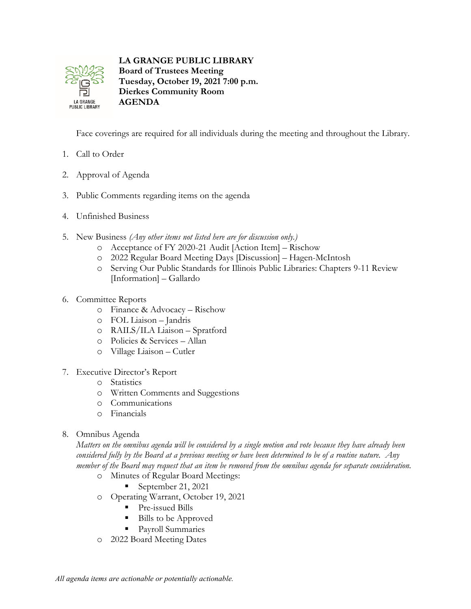

**LA GRANGE PUBLIC LIBRARY Board of Trustees Meeting Tuesday, October 19, 2021 7:00 p.m. Dierkes Community Room AGENDA**

Face coverings are required for all individuals during the meeting and throughout the Library.

- 1. Call to Order
- 2. Approval of Agenda
- 3. Public Comments regarding items on the agenda
- 4. Unfinished Business
- 5. New Business *(Any other items not listed here are for discussion only.)*
	- o Acceptance of FY 2020-21 Audit [Action Item] Rischow
	- o 2022 Regular Board Meeting Days [Discussion] Hagen-McIntosh
	- o Serving Our Public Standards for Illinois Public Libraries: Chapters 9-11 Review [Information] – Gallardo
- 6. Committee Reports
	- o Finance & Advocacy Rischow
	- o FOL Liaison Jandris
	- o RAILS/ILA Liaison Spratford
	- o Policies & Services Allan
	- o Village Liaison Cutler
- 7. Executive Director's Report
	- o Statistics
	- o Written Comments and Suggestions
	- o Communications
	- o Financials
- 8. Omnibus Agenda

*Matters on the omnibus agenda will be considered by a single motion and vote because they have already been considered fully by the Board at a previous meeting or have been determined to be of a routine nature. Any member of the Board may request that an item be removed from the omnibus agenda for separate consideration.*

- o Minutes of Regular Board Meetings:
	- September 21, 2021
- o Operating Warrant, October 19, 2021
	- Pre-issued Bills
	- Bills to be Approved
	- **Payroll Summaries**
- o 2022 Board Meeting Dates